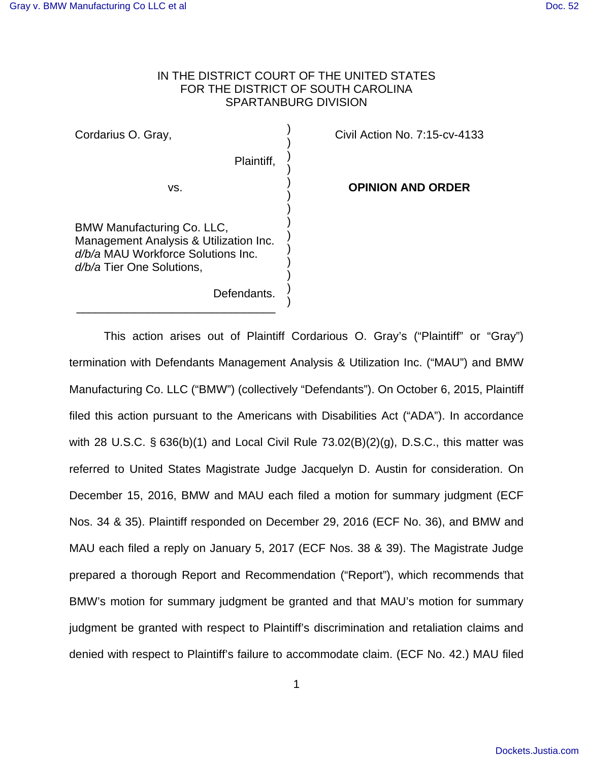# IN THE DISTRICT COURT OF THE UNITED STATES FOR THE DISTRICT OF SOUTH CAROLINA SPARTANBURG DIVISION

) ) ) ) ) ) ) ) ) ) ) ) ) )

Cordarius O. Gray,

Plaintiff,

Civil Action No. 7:15-cv-4133

**OPINION AND ORDER**

BMW Manufacturing Co. LLC, Management Analysis & Utilization Inc. d/b/a MAU Workforce Solutions Inc. d/b/a Tier One Solutions,

\_\_\_\_\_\_\_\_\_\_\_\_\_\_\_\_\_\_\_\_\_\_\_\_\_\_\_\_\_\_\_

vs.

Defendants.

 This action arises out of Plaintiff Cordarious O. Gray's ("Plaintiff" or "Gray") termination with Defendants Management Analysis & Utilization Inc. ("MAU") and BMW Manufacturing Co. LLC ("BMW") (collectively "Defendants"). On October 6, 2015, Plaintiff filed this action pursuant to the Americans with Disabilities Act ("ADA"). In accordance with 28 U.S.C.  $\S$  636(b)(1) and Local Civil Rule 73.02(B)(2)(g), D.S.C., this matter was referred to United States Magistrate Judge Jacquelyn D. Austin for consideration. On December 15, 2016, BMW and MAU each filed a motion for summary judgment (ECF Nos. 34 & 35). Plaintiff responded on December 29, 2016 (ECF No. 36), and BMW and MAU each filed a reply on January 5, 2017 (ECF Nos. 38 & 39). The Magistrate Judge prepared a thorough Report and Recommendation ("Report"), which recommends that BMW's motion for summary judgment be granted and that MAU's motion for summary judgment be granted with respect to Plaintiff's discrimination and retaliation claims and denied with respect to Plaintiff's failure to accommodate claim. (ECF No. 42.) MAU filed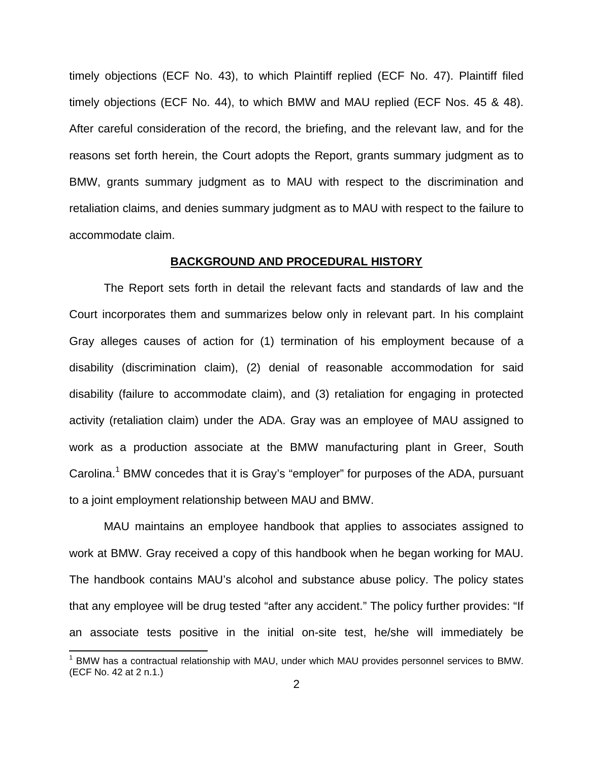timely objections (ECF No. 43), to which Plaintiff replied (ECF No. 47). Plaintiff filed timely objections (ECF No. 44), to which BMW and MAU replied (ECF Nos. 45 & 48). After careful consideration of the record, the briefing, and the relevant law, and for the reasons set forth herein, the Court adopts the Report, grants summary judgment as to BMW, grants summary judgment as to MAU with respect to the discrimination and retaliation claims, and denies summary judgment as to MAU with respect to the failure to accommodate claim.

## **BACKGROUND AND PROCEDURAL HISTORY**

 The Report sets forth in detail the relevant facts and standards of law and the Court incorporates them and summarizes below only in relevant part. In his complaint Gray alleges causes of action for (1) termination of his employment because of a disability (discrimination claim), (2) denial of reasonable accommodation for said disability (failure to accommodate claim), and (3) retaliation for engaging in protected activity (retaliation claim) under the ADA. Gray was an employee of MAU assigned to work as a production associate at the BMW manufacturing plant in Greer, South Carolina.<sup>1</sup> BMW concedes that it is Gray's "employer" for purposes of the ADA, pursuant to a joint employment relationship between MAU and BMW.

MAU maintains an employee handbook that applies to associates assigned to work at BMW. Gray received a copy of this handbook when he began working for MAU. The handbook contains MAU's alcohol and substance abuse policy. The policy states that any employee will be drug tested "after any accident." The policy further provides: "If an associate tests positive in the initial on-site test, he/she will immediately be

 1 BMW has a contractual relationship with MAU, under which MAU provides personnel services to BMW. (ECF No. 42 at 2 n.1.)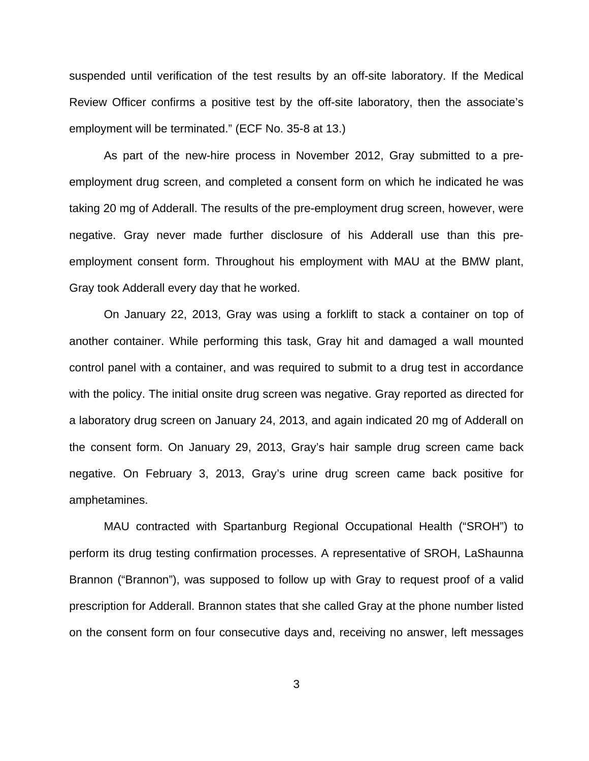suspended until verification of the test results by an off-site laboratory. If the Medical Review Officer confirms a positive test by the off-site laboratory, then the associate's employment will be terminated." (ECF No. 35-8 at 13.)

As part of the new-hire process in November 2012, Gray submitted to a preemployment drug screen, and completed a consent form on which he indicated he was taking 20 mg of Adderall. The results of the pre-employment drug screen, however, were negative. Gray never made further disclosure of his Adderall use than this preemployment consent form. Throughout his employment with MAU at the BMW plant, Gray took Adderall every day that he worked.

On January 22, 2013, Gray was using a forklift to stack a container on top of another container. While performing this task, Gray hit and damaged a wall mounted control panel with a container, and was required to submit to a drug test in accordance with the policy. The initial onsite drug screen was negative. Gray reported as directed for a laboratory drug screen on January 24, 2013, and again indicated 20 mg of Adderall on the consent form. On January 29, 2013, Gray's hair sample drug screen came back negative. On February 3, 2013, Gray's urine drug screen came back positive for amphetamines.

MAU contracted with Spartanburg Regional Occupational Health ("SROH") to perform its drug testing confirmation processes. A representative of SROH, LaShaunna Brannon ("Brannon"), was supposed to follow up with Gray to request proof of a valid prescription for Adderall. Brannon states that she called Gray at the phone number listed on the consent form on four consecutive days and, receiving no answer, left messages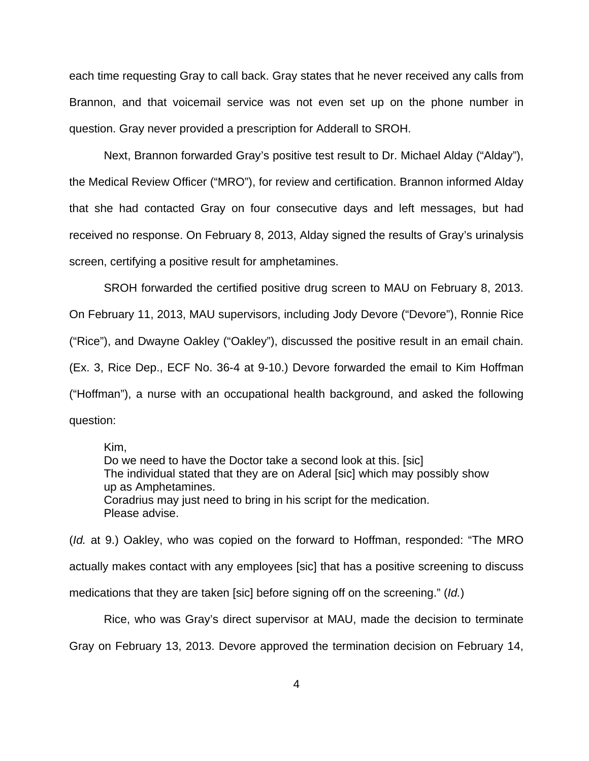each time requesting Gray to call back. Gray states that he never received any calls from Brannon, and that voicemail service was not even set up on the phone number in question. Gray never provided a prescription for Adderall to SROH.

Next, Brannon forwarded Gray's positive test result to Dr. Michael Alday ("Alday"), the Medical Review Officer ("MRO"), for review and certification. Brannon informed Alday that she had contacted Gray on four consecutive days and left messages, but had received no response. On February 8, 2013, Alday signed the results of Gray's urinalysis screen, certifying a positive result for amphetamines.

SROH forwarded the certified positive drug screen to MAU on February 8, 2013. On February 11, 2013, MAU supervisors, including Jody Devore ("Devore"), Ronnie Rice ("Rice"), and Dwayne Oakley ("Oakley"), discussed the positive result in an email chain. (Ex. 3, Rice Dep., ECF No. 36-4 at 9-10.) Devore forwarded the email to Kim Hoffman ("Hoffman"), a nurse with an occupational health background, and asked the following question:

Kim,

Do we need to have the Doctor take a second look at this. [sic] The individual stated that they are on Aderal [sic] which may possibly show up as Amphetamines. Coradrius may just need to bring in his script for the medication. Please advise.

(Id. at 9.) Oakley, who was copied on the forward to Hoffman, responded: "The MRO actually makes contact with any employees [sic] that has a positive screening to discuss medications that they are taken [sic] before signing off on the screening." (Id.)

Rice, who was Gray's direct supervisor at MAU, made the decision to terminate Gray on February 13, 2013. Devore approved the termination decision on February 14,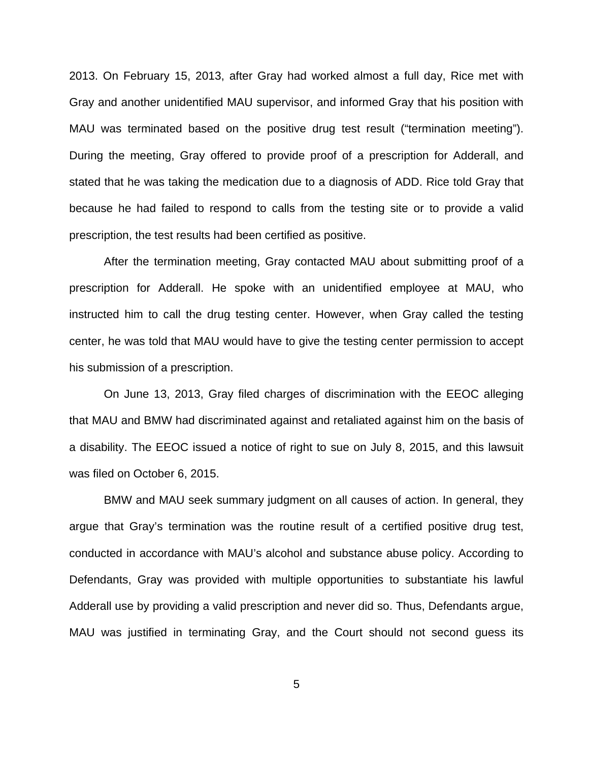2013. On February 15, 2013, after Gray had worked almost a full day, Rice met with Gray and another unidentified MAU supervisor, and informed Gray that his position with MAU was terminated based on the positive drug test result ("termination meeting"). During the meeting, Gray offered to provide proof of a prescription for Adderall, and stated that he was taking the medication due to a diagnosis of ADD. Rice told Gray that because he had failed to respond to calls from the testing site or to provide a valid prescription, the test results had been certified as positive.

 After the termination meeting, Gray contacted MAU about submitting proof of a prescription for Adderall. He spoke with an unidentified employee at MAU, who instructed him to call the drug testing center. However, when Gray called the testing center, he was told that MAU would have to give the testing center permission to accept his submission of a prescription.

On June 13, 2013, Gray filed charges of discrimination with the EEOC alleging that MAU and BMW had discriminated against and retaliated against him on the basis of a disability. The EEOC issued a notice of right to sue on July 8, 2015, and this lawsuit was filed on October 6, 2015.

BMW and MAU seek summary judgment on all causes of action. In general, they argue that Gray's termination was the routine result of a certified positive drug test, conducted in accordance with MAU's alcohol and substance abuse policy. According to Defendants, Gray was provided with multiple opportunities to substantiate his lawful Adderall use by providing a valid prescription and never did so. Thus, Defendants argue, MAU was justified in terminating Gray, and the Court should not second guess its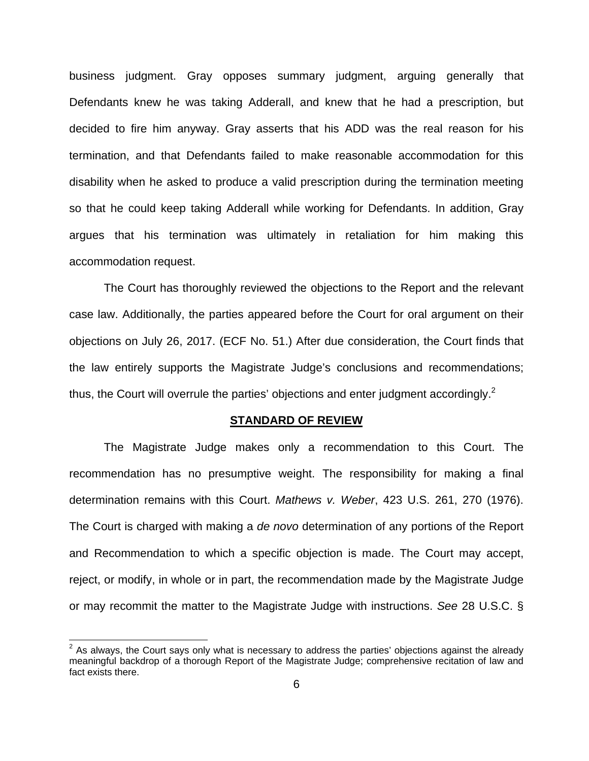business judgment. Gray opposes summary judgment, arguing generally that Defendants knew he was taking Adderall, and knew that he had a prescription, but decided to fire him anyway. Gray asserts that his ADD was the real reason for his termination, and that Defendants failed to make reasonable accommodation for this disability when he asked to produce a valid prescription during the termination meeting so that he could keep taking Adderall while working for Defendants. In addition, Gray argues that his termination was ultimately in retaliation for him making this accommodation request.

 The Court has thoroughly reviewed the objections to the Report and the relevant case law. Additionally, the parties appeared before the Court for oral argument on their objections on July 26, 2017. (ECF No. 51.) After due consideration, the Court finds that the law entirely supports the Magistrate Judge's conclusions and recommendations; thus, the Court will overrule the parties' objections and enter judgment accordingly.<sup>2</sup>

#### **STANDARD OF REVIEW**

 The Magistrate Judge makes only a recommendation to this Court. The recommendation has no presumptive weight. The responsibility for making a final determination remains with this Court. Mathews v. Weber, 423 U.S. 261, 270 (1976). The Court is charged with making a de novo determination of any portions of the Report and Recommendation to which a specific objection is made. The Court may accept, reject, or modify, in whole or in part, the recommendation made by the Magistrate Judge or may recommit the matter to the Magistrate Judge with instructions. See 28 U.S.C. §

<u> 1989 - Andrea Andrew Maria (h. 1989).</u><br>D

 $2$  As always, the Court says only what is necessary to address the parties' objections against the already meaningful backdrop of a thorough Report of the Magistrate Judge; comprehensive recitation of law and fact exists there.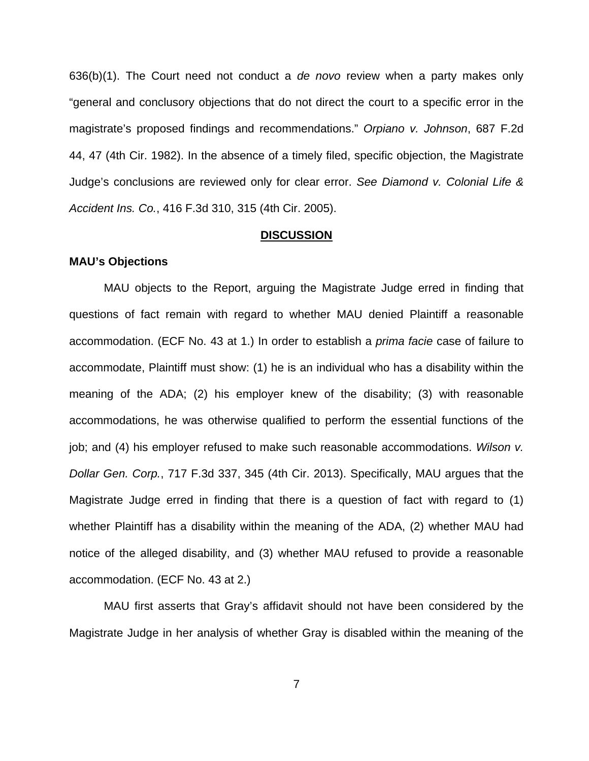$636(b)(1)$ . The Court need not conduct a *de novo* review when a party makes only "general and conclusory objections that do not direct the court to a specific error in the magistrate's proposed findings and recommendations." Orpiano v. Johnson, 687 F.2d 44, 47 (4th Cir. 1982). In the absence of a timely filed, specific objection, the Magistrate Judge's conclusions are reviewed only for clear error. See Diamond v. Colonial Life & Accident Ins. Co., 416 F.3d 310, 315 (4th Cir. 2005).

#### **DISCUSSION**

#### **MAU's Objections**

MAU objects to the Report, arguing the Magistrate Judge erred in finding that questions of fact remain with regard to whether MAU denied Plaintiff a reasonable accommodation. (ECF No. 43 at 1.) In order to establish a prima facie case of failure to accommodate, Plaintiff must show: (1) he is an individual who has a disability within the meaning of the ADA; (2) his employer knew of the disability; (3) with reasonable accommodations, he was otherwise qualified to perform the essential functions of the job; and (4) his employer refused to make such reasonable accommodations. Wilson v. Dollar Gen. Corp., 717 F.3d 337, 345 (4th Cir. 2013). Specifically, MAU argues that the Magistrate Judge erred in finding that there is a question of fact with regard to (1) whether Plaintiff has a disability within the meaning of the ADA, (2) whether MAU had notice of the alleged disability, and (3) whether MAU refused to provide a reasonable accommodation. (ECF No. 43 at 2.)

MAU first asserts that Gray's affidavit should not have been considered by the Magistrate Judge in her analysis of whether Gray is disabled within the meaning of the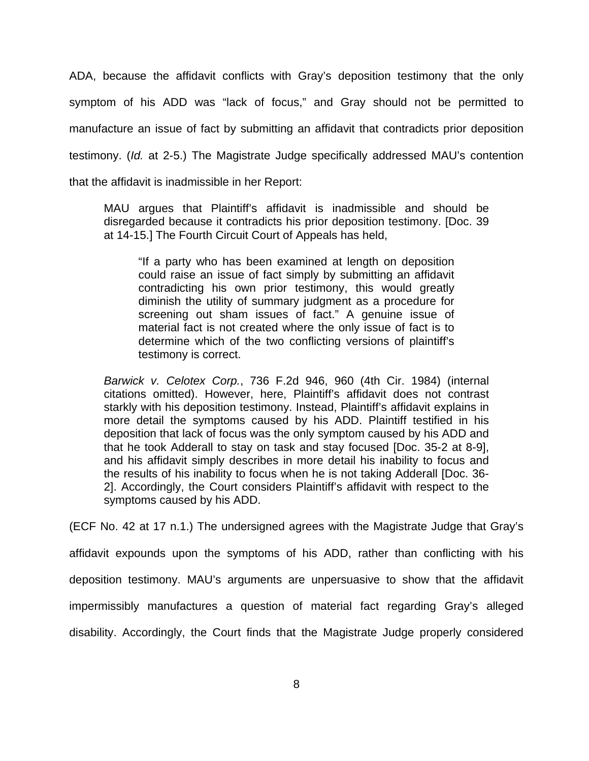ADA, because the affidavit conflicts with Gray's deposition testimony that the only symptom of his ADD was "lack of focus," and Gray should not be permitted to manufacture an issue of fact by submitting an affidavit that contradicts prior deposition testimony. (Id. at 2-5.) The Magistrate Judge specifically addressed MAU's contention that the affidavit is inadmissible in her Report:

MAU argues that Plaintiff's affidavit is inadmissible and should be disregarded because it contradicts his prior deposition testimony. [Doc. 39 at 14-15.] The Fourth Circuit Court of Appeals has held,

"If a party who has been examined at length on deposition could raise an issue of fact simply by submitting an affidavit contradicting his own prior testimony, this would greatly diminish the utility of summary judgment as a procedure for screening out sham issues of fact." A genuine issue of material fact is not created where the only issue of fact is to determine which of the two conflicting versions of plaintiff's testimony is correct.

Barwick v. Celotex Corp., 736 F.2d 946, 960 (4th Cir. 1984) (internal citations omitted). However, here, Plaintiff's affidavit does not contrast starkly with his deposition testimony. Instead, Plaintiff's affidavit explains in more detail the symptoms caused by his ADD. Plaintiff testified in his deposition that lack of focus was the only symptom caused by his ADD and that he took Adderall to stay on task and stay focused [Doc. 35-2 at 8-9], and his affidavit simply describes in more detail his inability to focus and the results of his inability to focus when he is not taking Adderall [Doc. 36- 2]. Accordingly, the Court considers Plaintiff's affidavit with respect to the symptoms caused by his ADD.

(ECF No. 42 at 17 n.1.) The undersigned agrees with the Magistrate Judge that Gray's

affidavit expounds upon the symptoms of his ADD, rather than conflicting with his deposition testimony. MAU's arguments are unpersuasive to show that the affidavit impermissibly manufactures a question of material fact regarding Gray's alleged disability. Accordingly, the Court finds that the Magistrate Judge properly considered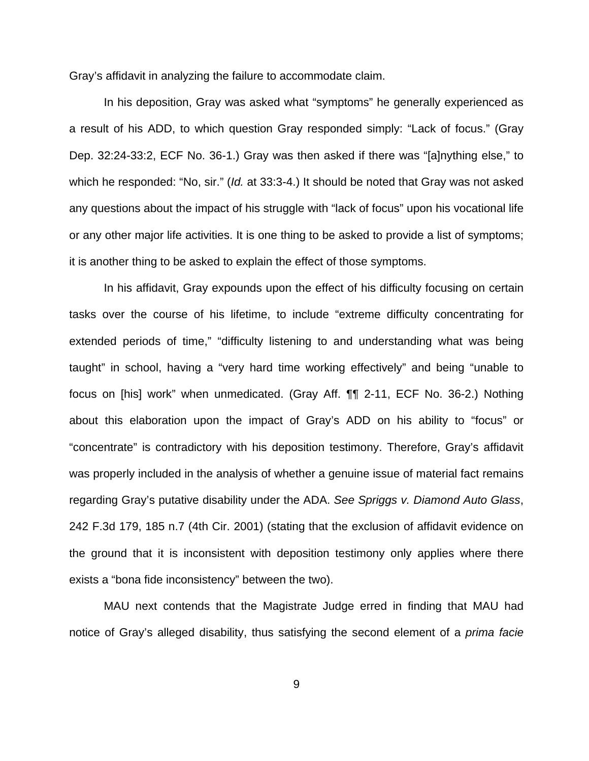Gray's affidavit in analyzing the failure to accommodate claim.

 In his deposition, Gray was asked what "symptoms" he generally experienced as a result of his ADD, to which question Gray responded simply: "Lack of focus." (Gray Dep. 32:24-33:2, ECF No. 36-1.) Gray was then asked if there was "[a]nything else," to which he responded: "No, sir." (*Id.* at 33:3-4.) It should be noted that Gray was not asked any questions about the impact of his struggle with "lack of focus" upon his vocational life or any other major life activities. It is one thing to be asked to provide a list of symptoms; it is another thing to be asked to explain the effect of those symptoms.

 In his affidavit, Gray expounds upon the effect of his difficulty focusing on certain tasks over the course of his lifetime, to include "extreme difficulty concentrating for extended periods of time," "difficulty listening to and understanding what was being taught" in school, having a "very hard time working effectively" and being "unable to focus on [his] work" when unmedicated. (Gray Aff. ¶¶ 2-11, ECF No. 36-2.) Nothing about this elaboration upon the impact of Gray's ADD on his ability to "focus" or "concentrate" is contradictory with his deposition testimony. Therefore, Gray's affidavit was properly included in the analysis of whether a genuine issue of material fact remains regarding Gray's putative disability under the ADA. See Spriggs v. Diamond Auto Glass, 242 F.3d 179, 185 n.7 (4th Cir. 2001) (stating that the exclusion of affidavit evidence on the ground that it is inconsistent with deposition testimony only applies where there exists a "bona fide inconsistency" between the two).

 MAU next contends that the Magistrate Judge erred in finding that MAU had notice of Gray's alleged disability, thus satisfying the second element of a *prima facie*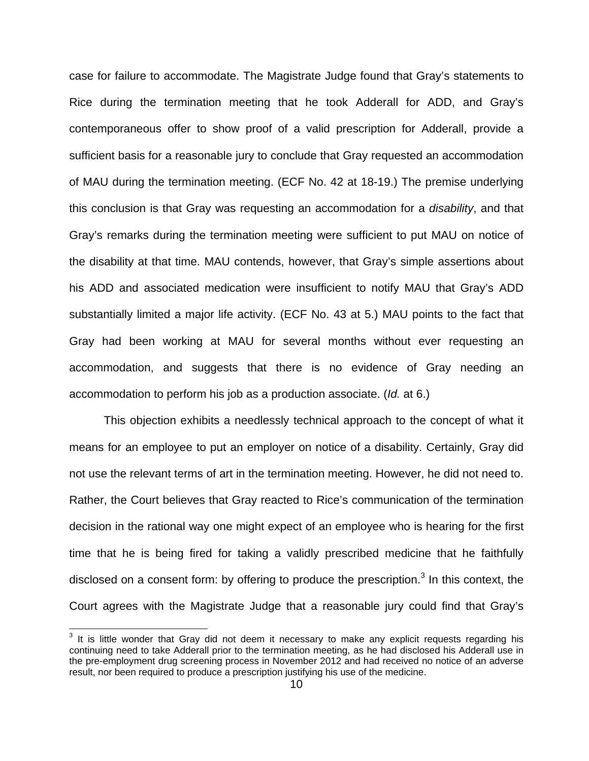case for failure to accommodate. The Magistrate Judge found that Gray's statements to Rice during the termination meeting that he took Adderall for ADD, and Gray's contemporaneous offer to show proof of a valid prescription for Adderall, provide a sufficient basis for a reasonable jury to conclude that Gray requested an accommodation of MAU during the termination meeting. (ECF No. 42 at 18-19.) The premise underlying this conclusion is that Gray was requesting an accommodation for a disability, and that Gray's remarks during the termination meeting were sufficient to put MAU on notice of the disability at that time. MAU contends, however, that Gray's simple assertions about his ADD and associated medication were insufficient to notify MAU that Gray's ADD substantially limited a major life activity. (ECF No. 43 at 5.) MAU points to the fact that Gray had been working at MAU for several months without ever requesting an accommodation, and suggests that there is no evidence of Gray needing an accommodation to perform his job as a production associate. (Id. at 6.)

 This objection exhibits a needlessly technical approach to the concept of what it means for an employee to put an employer on notice of a disability. Certainly, Gray did not use the relevant terms of art in the termination meeting. However, he did not need to. Rather, the Court believes that Gray reacted to Rice's communication of the termination decision in the rational way one might expect of an employee who is hearing for the first time that he is being fired for taking a validly prescribed medicine that he faithfully disclosed on a consent form: by offering to produce the prescription. $3$  In this context, the Court agrees with the Magistrate Judge that a reasonable jury could find that Gray's

 $3$  It is little wonder that Gray did not deem it necessary to make any explicit requests regarding his continuing need to take Adderall prior to the termination meeting, as he had disclosed his Adderall use in the pre-employment drug screening process in November 2012 and had received no notice of an adverse result, nor been required to produce a prescription justifying his use of the medicine.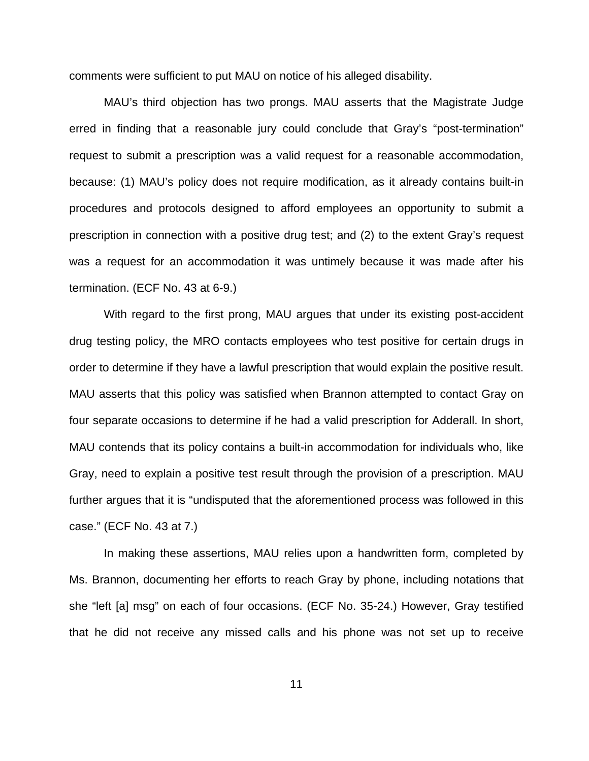comments were sufficient to put MAU on notice of his alleged disability.

 MAU's third objection has two prongs. MAU asserts that the Magistrate Judge erred in finding that a reasonable jury could conclude that Gray's "post-termination" request to submit a prescription was a valid request for a reasonable accommodation, because: (1) MAU's policy does not require modification, as it already contains built-in procedures and protocols designed to afford employees an opportunity to submit a prescription in connection with a positive drug test; and (2) to the extent Gray's request was a request for an accommodation it was untimely because it was made after his termination. (ECF No. 43 at 6-9.)

 With regard to the first prong, MAU argues that under its existing post-accident drug testing policy, the MRO contacts employees who test positive for certain drugs in order to determine if they have a lawful prescription that would explain the positive result. MAU asserts that this policy was satisfied when Brannon attempted to contact Gray on four separate occasions to determine if he had a valid prescription for Adderall. In short, MAU contends that its policy contains a built-in accommodation for individuals who, like Gray, need to explain a positive test result through the provision of a prescription. MAU further argues that it is "undisputed that the aforementioned process was followed in this case." (ECF No. 43 at 7.)

 In making these assertions, MAU relies upon a handwritten form, completed by Ms. Brannon, documenting her efforts to reach Gray by phone, including notations that she "left [a] msg" on each of four occasions. (ECF No. 35-24.) However, Gray testified that he did not receive any missed calls and his phone was not set up to receive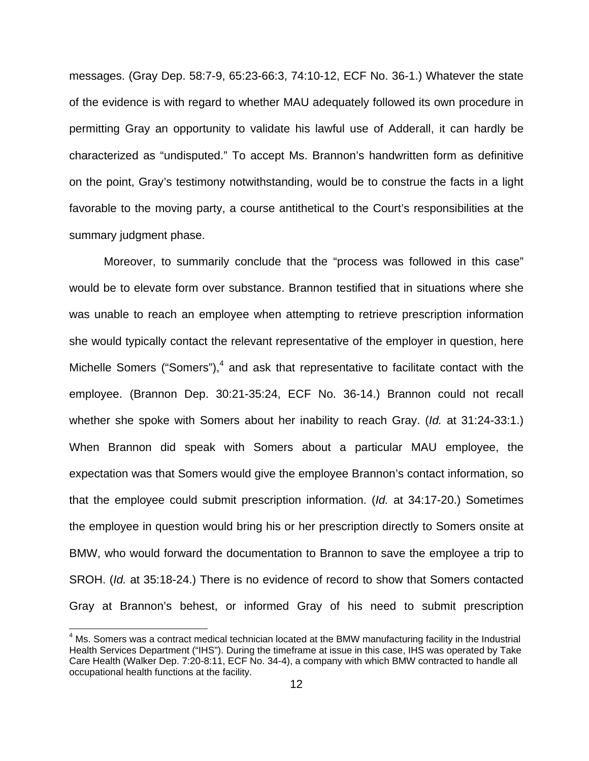messages. (Gray Dep. 58:7-9, 65:23-66:3, 74:10-12, ECF No. 36-1.) Whatever the state of the evidence is with regard to whether MAU adequately followed its own procedure in permitting Gray an opportunity to validate his lawful use of Adderall, it can hardly be characterized as "undisputed." To accept Ms. Brannon's handwritten form as definitive on the point, Gray's testimony notwithstanding, would be to construe the facts in a light favorable to the moving party, a course antithetical to the Court's responsibilities at the summary judgment phase.

 Moreover, to summarily conclude that the "process was followed in this case" would be to elevate form over substance. Brannon testified that in situations where she was unable to reach an employee when attempting to retrieve prescription information she would typically contact the relevant representative of the employer in question, here Michelle Somers ("Somers"), $4$  and ask that representative to facilitate contact with the employee. (Brannon Dep. 30:21-35:24, ECF No. 36-14.) Brannon could not recall whether she spoke with Somers about her inability to reach Gray. (*Id.* at 31:24-33:1.) When Brannon did speak with Somers about a particular MAU employee, the expectation was that Somers would give the employee Brannon's contact information, so that the employee could submit prescription information. (Id. at 34:17-20.) Sometimes the employee in question would bring his or her prescription directly to Somers onsite at BMW, who would forward the documentation to Brannon to save the employee a trip to SROH. (Id. at 35:18-24.) There is no evidence of record to show that Somers contacted Gray at Brannon's behest, or informed Gray of his need to submit prescription

<sup>&</sup>lt;sup>4</sup> Ms. Somers was a contract medical technician located at the BMW manufacturing facility in the Industrial Health Services Department ("IHS"). During the timeframe at issue in this case, IHS was operated by Take Care Health (Walker Dep. 7:20-8:11, ECF No. 34-4), a company with which BMW contracted to handle all occupational health functions at the facility.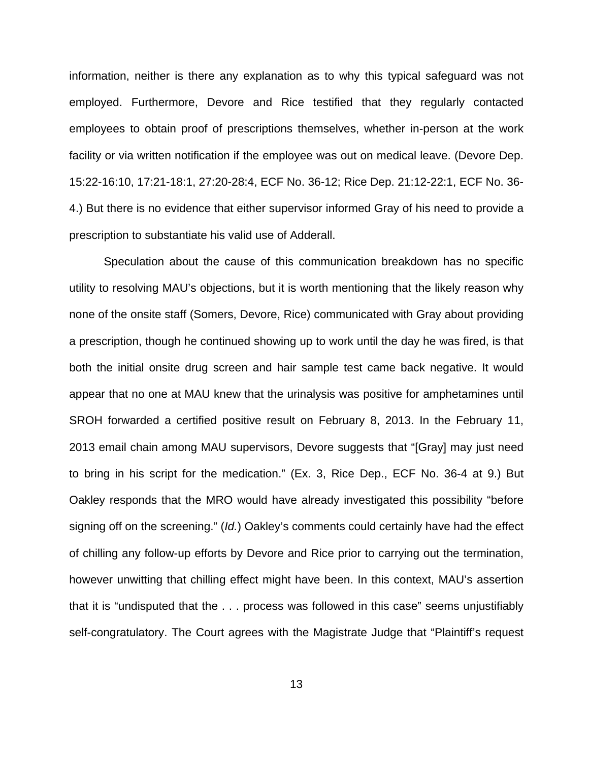information, neither is there any explanation as to why this typical safeguard was not employed. Furthermore, Devore and Rice testified that they regularly contacted employees to obtain proof of prescriptions themselves, whether in-person at the work facility or via written notification if the employee was out on medical leave. (Devore Dep. 15:22-16:10, 17:21-18:1, 27:20-28:4, ECF No. 36-12; Rice Dep. 21:12-22:1, ECF No. 36- 4.) But there is no evidence that either supervisor informed Gray of his need to provide a prescription to substantiate his valid use of Adderall.

Speculation about the cause of this communication breakdown has no specific utility to resolving MAU's objections, but it is worth mentioning that the likely reason why none of the onsite staff (Somers, Devore, Rice) communicated with Gray about providing a prescription, though he continued showing up to work until the day he was fired, is that both the initial onsite drug screen and hair sample test came back negative. It would appear that no one at MAU knew that the urinalysis was positive for amphetamines until SROH forwarded a certified positive result on February 8, 2013. In the February 11, 2013 email chain among MAU supervisors, Devore suggests that "[Gray] may just need to bring in his script for the medication." (Ex. 3, Rice Dep., ECF No. 36-4 at 9.) But Oakley responds that the MRO would have already investigated this possibility "before signing off on the screening." (Id.) Oakley's comments could certainly have had the effect of chilling any follow-up efforts by Devore and Rice prior to carrying out the termination, however unwitting that chilling effect might have been. In this context, MAU's assertion that it is "undisputed that the . . . process was followed in this case" seems unjustifiably self-congratulatory. The Court agrees with the Magistrate Judge that "Plaintiff's request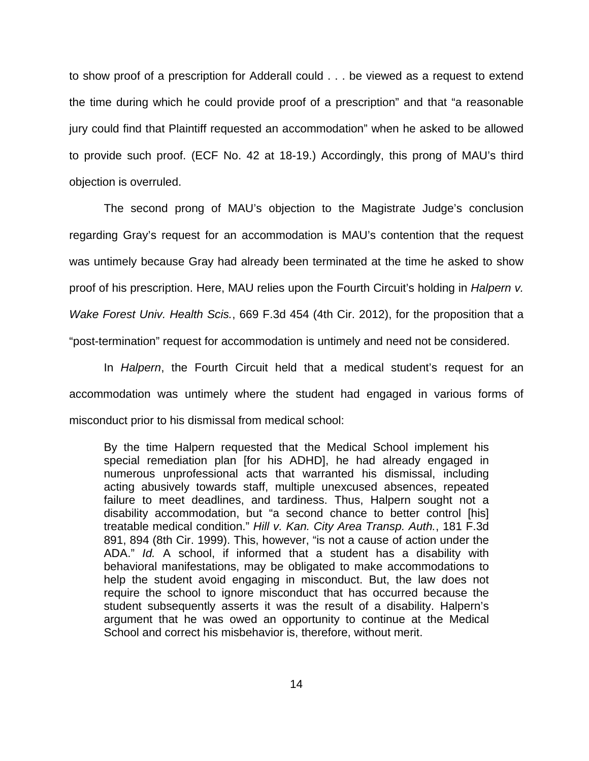to show proof of a prescription for Adderall could . . . be viewed as a request to extend the time during which he could provide proof of a prescription" and that "a reasonable jury could find that Plaintiff requested an accommodation" when he asked to be allowed to provide such proof. (ECF No. 42 at 18-19.) Accordingly, this prong of MAU's third objection is overruled.

The second prong of MAU's objection to the Magistrate Judge's conclusion regarding Gray's request for an accommodation is MAU's contention that the request was untimely because Gray had already been terminated at the time he asked to show proof of his prescription. Here, MAU relies upon the Fourth Circuit's holding in *Halpern v.* Wake Forest Univ. Health Scis., 669 F.3d 454 (4th Cir. 2012), for the proposition that a "post-termination" request for accommodation is untimely and need not be considered.

In Halpern, the Fourth Circuit held that a medical student's request for an accommodation was untimely where the student had engaged in various forms of misconduct prior to his dismissal from medical school:

By the time Halpern requested that the Medical School implement his special remediation plan [for his ADHD], he had already engaged in numerous unprofessional acts that warranted his dismissal, including acting abusively towards staff, multiple unexcused absences, repeated failure to meet deadlines, and tardiness. Thus, Halpern sought not a disability accommodation, but "a second chance to better control [his] treatable medical condition." Hill v. Kan. City Area Transp. Auth., 181 F.3d 891, 894 (8th Cir. 1999). This, however, "is not a cause of action under the ADA." Id. A school, if informed that a student has a disability with behavioral manifestations, may be obligated to make accommodations to help the student avoid engaging in misconduct. But, the law does not require the school to ignore misconduct that has occurred because the student subsequently asserts it was the result of a disability. Halpern's argument that he was owed an opportunity to continue at the Medical School and correct his misbehavior is, therefore, without merit.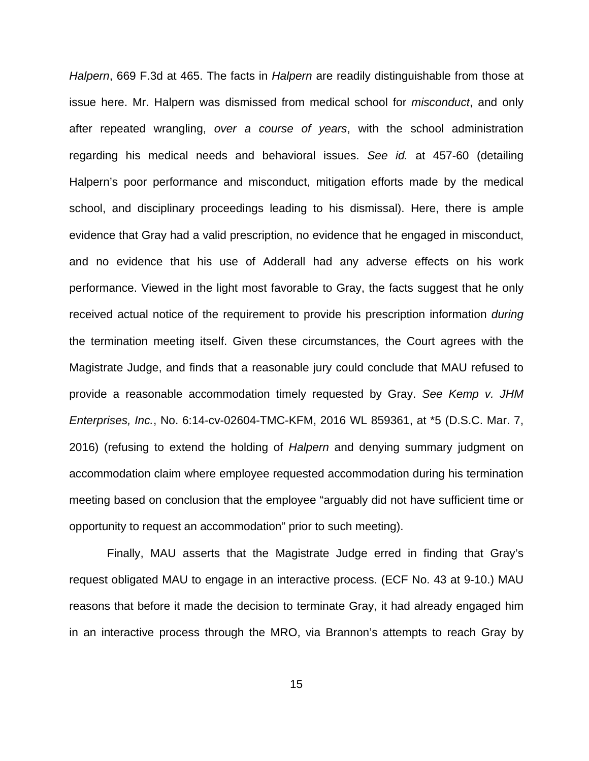Halpern, 669 F.3d at 465. The facts in Halpern are readily distinguishable from those at issue here. Mr. Halpern was dismissed from medical school for misconduct, and only after repeated wrangling, over a course of years, with the school administration regarding his medical needs and behavioral issues. See id. at 457-60 (detailing Halpern's poor performance and misconduct, mitigation efforts made by the medical school, and disciplinary proceedings leading to his dismissal). Here, there is ample evidence that Gray had a valid prescription, no evidence that he engaged in misconduct, and no evidence that his use of Adderall had any adverse effects on his work performance. Viewed in the light most favorable to Gray, the facts suggest that he only received actual notice of the requirement to provide his prescription information *during* the termination meeting itself. Given these circumstances, the Court agrees with the Magistrate Judge, and finds that a reasonable jury could conclude that MAU refused to provide a reasonable accommodation timely requested by Gray. See Kemp v. JHM Enterprises, Inc., No. 6:14-cv-02604-TMC-KFM, 2016 WL 859361, at \*5 (D.S.C. Mar. 7, 2016) (refusing to extend the holding of Halpern and denying summary judgment on accommodation claim where employee requested accommodation during his termination meeting based on conclusion that the employee "arguably did not have sufficient time or opportunity to request an accommodation" prior to such meeting).

 Finally, MAU asserts that the Magistrate Judge erred in finding that Gray's request obligated MAU to engage in an interactive process. (ECF No. 43 at 9-10.) MAU reasons that before it made the decision to terminate Gray, it had already engaged him in an interactive process through the MRO, via Brannon's attempts to reach Gray by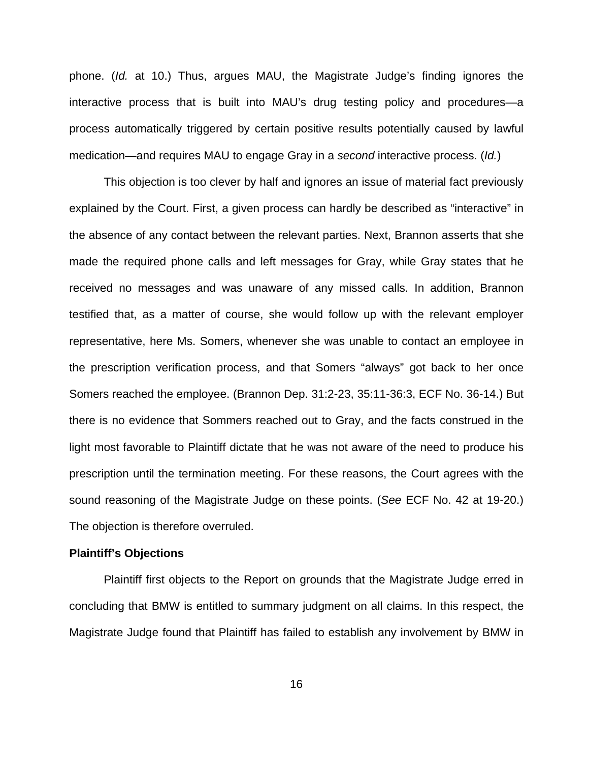phone. (Id. at 10.) Thus, argues MAU, the Magistrate Judge's finding ignores the interactive process that is built into MAU's drug testing policy and procedures—a process automatically triggered by certain positive results potentially caused by lawful medication—and requires MAU to engage Gray in a second interactive process. (Id.)

 This objection is too clever by half and ignores an issue of material fact previously explained by the Court. First, a given process can hardly be described as "interactive" in the absence of any contact between the relevant parties. Next, Brannon asserts that she made the required phone calls and left messages for Gray, while Gray states that he received no messages and was unaware of any missed calls. In addition, Brannon testified that, as a matter of course, she would follow up with the relevant employer representative, here Ms. Somers, whenever she was unable to contact an employee in the prescription verification process, and that Somers "always" got back to her once Somers reached the employee. (Brannon Dep. 31:2-23, 35:11-36:3, ECF No. 36-14.) But there is no evidence that Sommers reached out to Gray, and the facts construed in the light most favorable to Plaintiff dictate that he was not aware of the need to produce his prescription until the termination meeting. For these reasons, the Court agrees with the sound reasoning of the Magistrate Judge on these points. (See ECF No. 42 at 19-20.) The objection is therefore overruled.

### **Plaintiff's Objections**

 Plaintiff first objects to the Report on grounds that the Magistrate Judge erred in concluding that BMW is entitled to summary judgment on all claims. In this respect, the Magistrate Judge found that Plaintiff has failed to establish any involvement by BMW in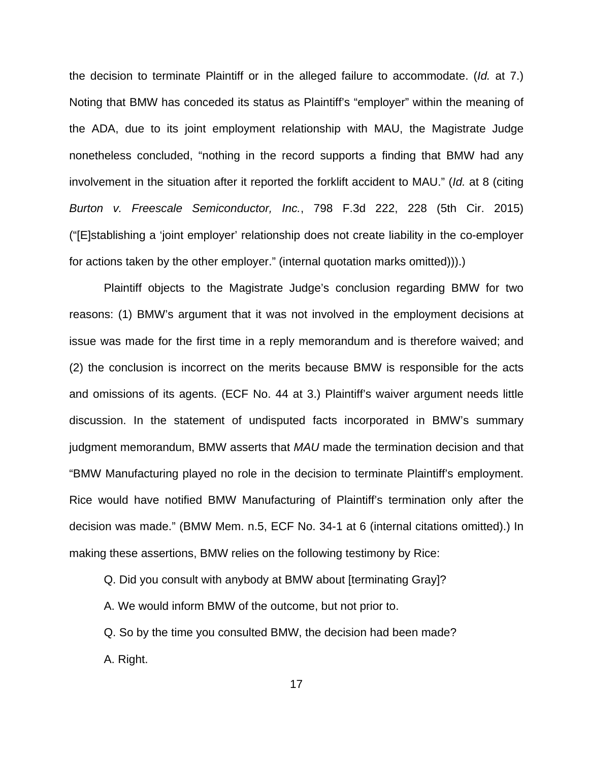the decision to terminate Plaintiff or in the alleged failure to accommodate. (Id. at 7.) Noting that BMW has conceded its status as Plaintiff's "employer" within the meaning of the ADA, due to its joint employment relationship with MAU, the Magistrate Judge nonetheless concluded, "nothing in the record supports a finding that BMW had any involvement in the situation after it reported the forklift accident to MAU." (Id. at 8 (citing Burton v. Freescale Semiconductor, Inc., 798 F.3d 222, 228 (5th Cir. 2015) ("[E]stablishing a 'joint employer' relationship does not create liability in the co-employer for actions taken by the other employer." (internal quotation marks omitted))).)

 Plaintiff objects to the Magistrate Judge's conclusion regarding BMW for two reasons: (1) BMW's argument that it was not involved in the employment decisions at issue was made for the first time in a reply memorandum and is therefore waived; and (2) the conclusion is incorrect on the merits because BMW is responsible for the acts and omissions of its agents. (ECF No. 44 at 3.) Plaintiff's waiver argument needs little discussion. In the statement of undisputed facts incorporated in BMW's summary judgment memorandum, BMW asserts that MAU made the termination decision and that "BMW Manufacturing played no role in the decision to terminate Plaintiff's employment. Rice would have notified BMW Manufacturing of Plaintiff's termination only after the decision was made." (BMW Mem. n.5, ECF No. 34-1 at 6 (internal citations omitted).) In making these assertions, BMW relies on the following testimony by Rice:

Q. Did you consult with anybody at BMW about [terminating Gray]?

A. We would inform BMW of the outcome, but not prior to.

Q. So by the time you consulted BMW, the decision had been made?

A. Right.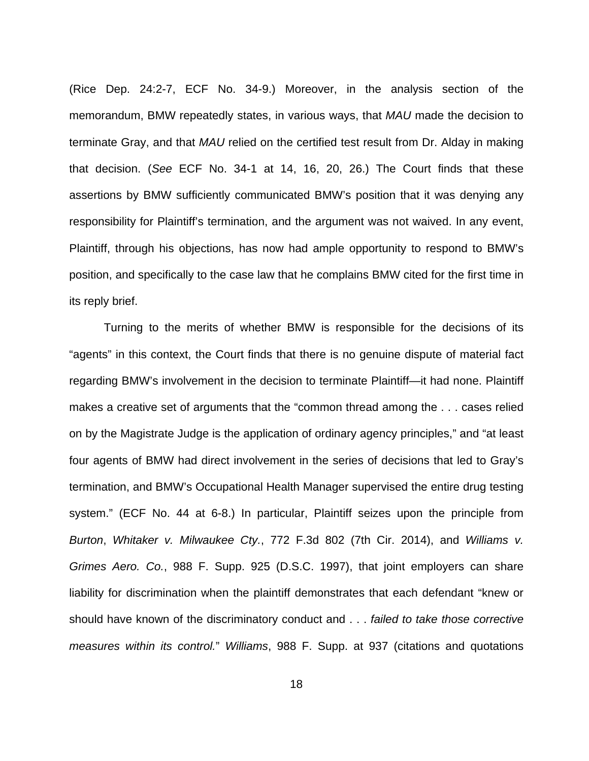(Rice Dep. 24:2-7, ECF No. 34-9.) Moreover, in the analysis section of the memorandum, BMW repeatedly states, in various ways, that MAU made the decision to terminate Gray, and that MAU relied on the certified test result from Dr. Alday in making that decision. (See ECF No. 34-1 at 14, 16, 20, 26.) The Court finds that these assertions by BMW sufficiently communicated BMW's position that it was denying any responsibility for Plaintiff's termination, and the argument was not waived. In any event, Plaintiff, through his objections, has now had ample opportunity to respond to BMW's position, and specifically to the case law that he complains BMW cited for the first time in its reply brief.

 Turning to the merits of whether BMW is responsible for the decisions of its "agents" in this context, the Court finds that there is no genuine dispute of material fact regarding BMW's involvement in the decision to terminate Plaintiff—it had none. Plaintiff makes a creative set of arguments that the "common thread among the . . . cases relied on by the Magistrate Judge is the application of ordinary agency principles," and "at least four agents of BMW had direct involvement in the series of decisions that led to Gray's termination, and BMW's Occupational Health Manager supervised the entire drug testing system." (ECF No. 44 at 6-8.) In particular, Plaintiff seizes upon the principle from Burton, Whitaker v. Milwaukee Cty., 772 F.3d 802 (7th Cir. 2014), and Williams v. Grimes Aero. Co., 988 F. Supp. 925 (D.S.C. 1997), that joint employers can share liability for discrimination when the plaintiff demonstrates that each defendant "knew or should have known of the discriminatory conduct and . . . failed to take those corrective measures within its control." Williams, 988 F. Supp. at 937 (citations and quotations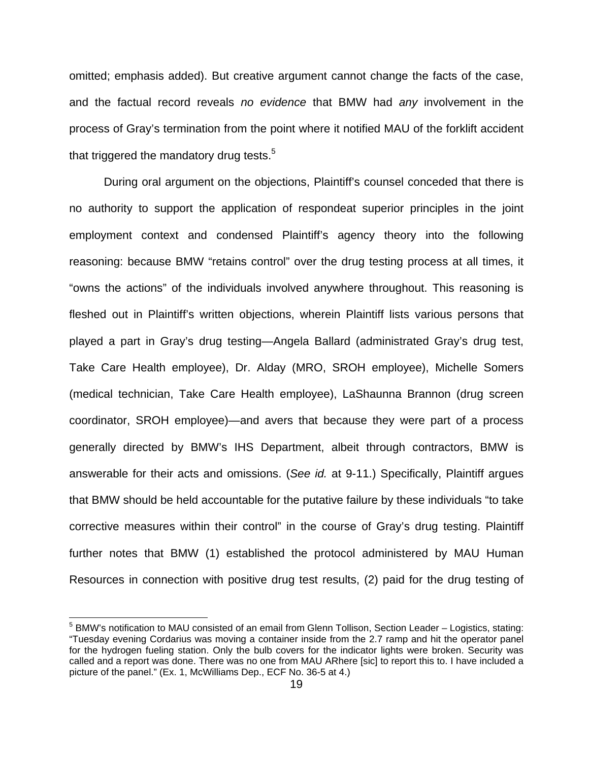omitted; emphasis added). But creative argument cannot change the facts of the case, and the factual record reveals no evidence that BMW had any involvement in the process of Gray's termination from the point where it notified MAU of the forklift accident that triggered the mandatory drug tests. $5$ 

 During oral argument on the objections, Plaintiff's counsel conceded that there is no authority to support the application of respondeat superior principles in the joint employment context and condensed Plaintiff's agency theory into the following reasoning: because BMW "retains control" over the drug testing process at all times, it "owns the actions" of the individuals involved anywhere throughout. This reasoning is fleshed out in Plaintiff's written objections, wherein Plaintiff lists various persons that played a part in Gray's drug testing—Angela Ballard (administrated Gray's drug test, Take Care Health employee), Dr. Alday (MRO, SROH employee), Michelle Somers (medical technician, Take Care Health employee), LaShaunna Brannon (drug screen coordinator, SROH employee)—and avers that because they were part of a process generally directed by BMW's IHS Department, albeit through contractors, BMW is answerable for their acts and omissions. (See id. at 9-11.) Specifically, Plaintiff argues that BMW should be held accountable for the putative failure by these individuals "to take corrective measures within their control" in the course of Gray's drug testing. Plaintiff further notes that BMW (1) established the protocol administered by MAU Human Resources in connection with positive drug test results, (2) paid for the drug testing of

<sup>&</sup>lt;sup>5</sup> BMW's notification to MAU consisted of an email from Glenn Tollison, Section Leader – Logistics, stating: "Tuesday evening Cordarius was moving a container inside from the 2.7 ramp and hit the operator panel for the hydrogen fueling station. Only the bulb covers for the indicator lights were broken. Security was called and a report was done. There was no one from MAU ARhere [sic] to report this to. I have included a picture of the panel." (Ex. 1, McWilliams Dep., ECF No. 36-5 at 4.)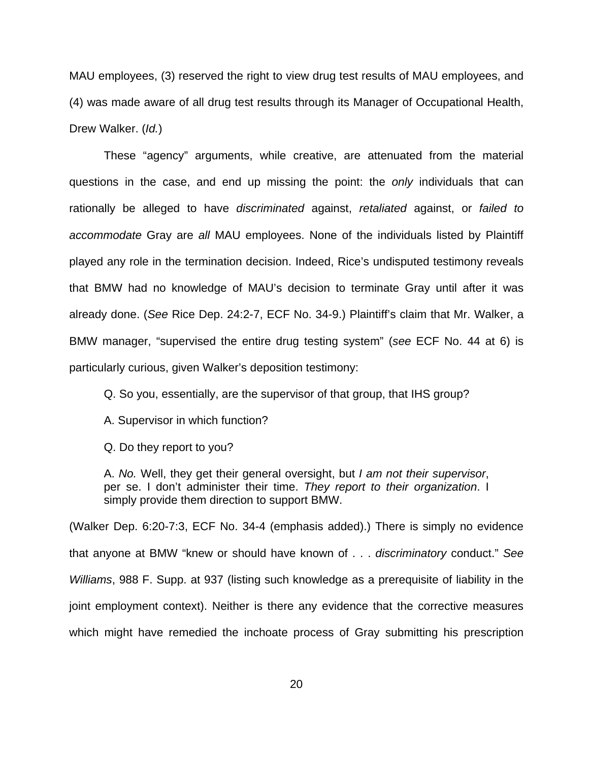MAU employees, (3) reserved the right to view drug test results of MAU employees, and (4) was made aware of all drug test results through its Manager of Occupational Health, Drew Walker. (Id.)

These "agency" arguments, while creative, are attenuated from the material questions in the case, and end up missing the point: the only individuals that can rationally be alleged to have discriminated against, retaliated against, or failed to accommodate Gray are all MAU employees. None of the individuals listed by Plaintiff played any role in the termination decision. Indeed, Rice's undisputed testimony reveals that BMW had no knowledge of MAU's decision to terminate Gray until after it was already done. (See Rice Dep. 24:2-7, ECF No. 34-9.) Plaintiff's claim that Mr. Walker, a BMW manager, "supervised the entire drug testing system" (see ECF No. 44 at 6) is particularly curious, given Walker's deposition testimony:

Q. So you, essentially, are the supervisor of that group, that IHS group?

A. Supervisor in which function?

Q. Do they report to you?

A. No. Well, they get their general oversight, but I am not their supervisor, per se. I don't administer their time. They report to their organization. I simply provide them direction to support BMW.

(Walker Dep. 6:20-7:3, ECF No. 34-4 (emphasis added).) There is simply no evidence that anyone at BMW "knew or should have known of . . . discriminatory conduct." See Williams, 988 F. Supp. at 937 (listing such knowledge as a prerequisite of liability in the joint employment context). Neither is there any evidence that the corrective measures which might have remedied the inchoate process of Gray submitting his prescription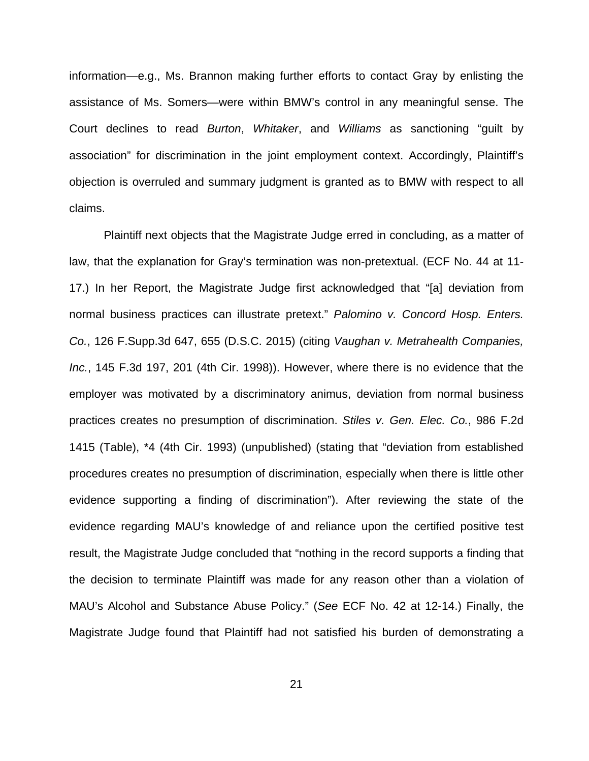information—e.g., Ms. Brannon making further efforts to contact Gray by enlisting the assistance of Ms. Somers—were within BMW's control in any meaningful sense. The Court declines to read Burton, Whitaker, and Williams as sanctioning "guilt by association" for discrimination in the joint employment context. Accordingly, Plaintiff's objection is overruled and summary judgment is granted as to BMW with respect to all claims.

 Plaintiff next objects that the Magistrate Judge erred in concluding, as a matter of law, that the explanation for Gray's termination was non-pretextual. (ECF No. 44 at 11- 17.) In her Report, the Magistrate Judge first acknowledged that "[a] deviation from normal business practices can illustrate pretext." Palomino v. Concord Hosp. Enters. Co., 126 F.Supp.3d 647, 655 (D.S.C. 2015) (citing Vaughan v. Metrahealth Companies, Inc., 145 F.3d 197, 201 (4th Cir. 1998)). However, where there is no evidence that the employer was motivated by a discriminatory animus, deviation from normal business practices creates no presumption of discrimination. Stiles v. Gen. Elec. Co., 986 F.2d 1415 (Table), \*4 (4th Cir. 1993) (unpublished) (stating that "deviation from established procedures creates no presumption of discrimination, especially when there is little other evidence supporting a finding of discrimination"). After reviewing the state of the evidence regarding MAU's knowledge of and reliance upon the certified positive test result, the Magistrate Judge concluded that "nothing in the record supports a finding that the decision to terminate Plaintiff was made for any reason other than a violation of MAU's Alcohol and Substance Abuse Policy." (See ECF No. 42 at 12-14.) Finally, the Magistrate Judge found that Plaintiff had not satisfied his burden of demonstrating a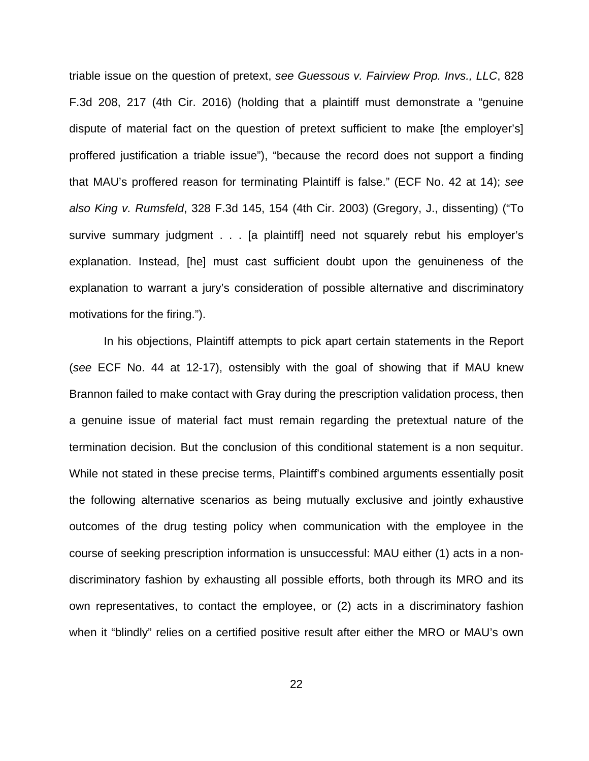triable issue on the question of pretext, see Guessous v. Fairview Prop. Invs., LLC, 828 F.3d 208, 217 (4th Cir. 2016) (holding that a plaintiff must demonstrate a "genuine dispute of material fact on the question of pretext sufficient to make [the employer's] proffered justification a triable issue"), "because the record does not support a finding that MAU's proffered reason for terminating Plaintiff is false." (ECF No. 42 at 14); see also King v. Rumsfeld, 328 F.3d 145, 154 (4th Cir. 2003) (Gregory, J., dissenting) ("To survive summary judgment . . . [a plaintiff] need not squarely rebut his employer's explanation. Instead, [he] must cast sufficient doubt upon the genuineness of the explanation to warrant a jury's consideration of possible alternative and discriminatory motivations for the firing.").

 In his objections, Plaintiff attempts to pick apart certain statements in the Report (see ECF No. 44 at 12-17), ostensibly with the goal of showing that if MAU knew Brannon failed to make contact with Gray during the prescription validation process, then a genuine issue of material fact must remain regarding the pretextual nature of the termination decision. But the conclusion of this conditional statement is a non sequitur. While not stated in these precise terms, Plaintiff's combined arguments essentially posit the following alternative scenarios as being mutually exclusive and jointly exhaustive outcomes of the drug testing policy when communication with the employee in the course of seeking prescription information is unsuccessful: MAU either (1) acts in a nondiscriminatory fashion by exhausting all possible efforts, both through its MRO and its own representatives, to contact the employee, or (2) acts in a discriminatory fashion when it "blindly" relies on a certified positive result after either the MRO or MAU's own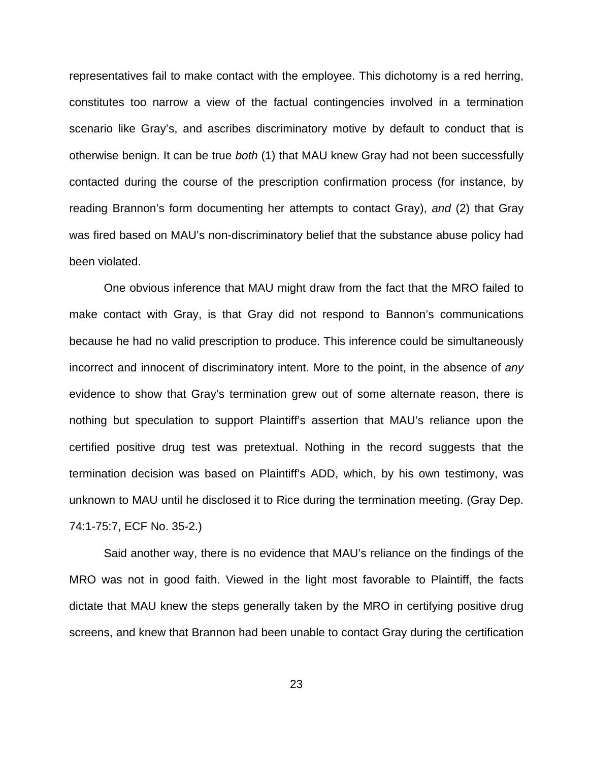representatives fail to make contact with the employee. This dichotomy is a red herring, constitutes too narrow a view of the factual contingencies involved in a termination scenario like Gray's, and ascribes discriminatory motive by default to conduct that is otherwise benign. It can be true both (1) that MAU knew Gray had not been successfully contacted during the course of the prescription confirmation process (for instance, by reading Brannon's form documenting her attempts to contact Gray), and (2) that Gray was fired based on MAU's non-discriminatory belief that the substance abuse policy had been violated.

One obvious inference that MAU might draw from the fact that the MRO failed to make contact with Gray, is that Gray did not respond to Bannon's communications because he had no valid prescription to produce. This inference could be simultaneously incorrect and innocent of discriminatory intent. More to the point, in the absence of any evidence to show that Gray's termination grew out of some alternate reason, there is nothing but speculation to support Plaintiff's assertion that MAU's reliance upon the certified positive drug test was pretextual. Nothing in the record suggests that the termination decision was based on Plaintiff's ADD, which, by his own testimony, was unknown to MAU until he disclosed it to Rice during the termination meeting. (Gray Dep. 74:1-75:7, ECF No. 35-2.)

Said another way, there is no evidence that MAU's reliance on the findings of the MRO was not in good faith. Viewed in the light most favorable to Plaintiff, the facts dictate that MAU knew the steps generally taken by the MRO in certifying positive drug screens, and knew that Brannon had been unable to contact Gray during the certification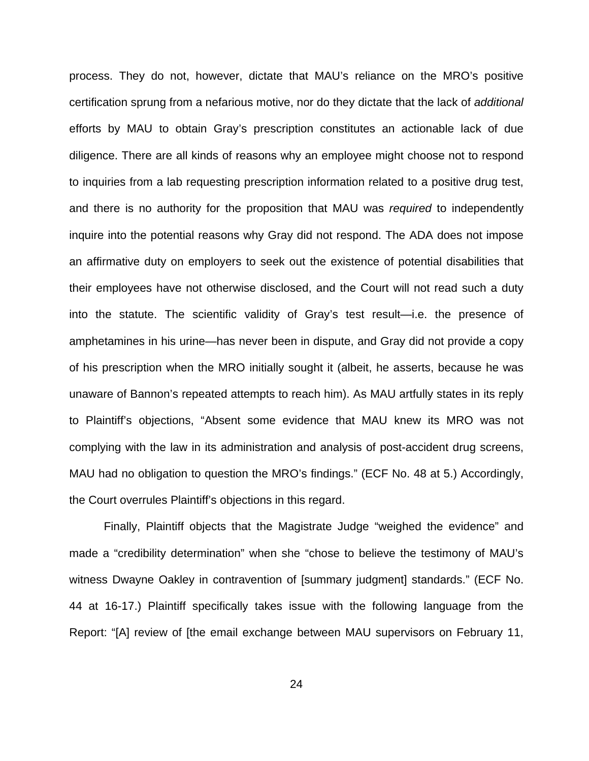process. They do not, however, dictate that MAU's reliance on the MRO's positive certification sprung from a nefarious motive, nor do they dictate that the lack of additional efforts by MAU to obtain Gray's prescription constitutes an actionable lack of due diligence. There are all kinds of reasons why an employee might choose not to respond to inquiries from a lab requesting prescription information related to a positive drug test, and there is no authority for the proposition that MAU was required to independently inquire into the potential reasons why Gray did not respond. The ADA does not impose an affirmative duty on employers to seek out the existence of potential disabilities that their employees have not otherwise disclosed, and the Court will not read such a duty into the statute. The scientific validity of Gray's test result—i.e. the presence of amphetamines in his urine—has never been in dispute, and Gray did not provide a copy of his prescription when the MRO initially sought it (albeit, he asserts, because he was unaware of Bannon's repeated attempts to reach him). As MAU artfully states in its reply to Plaintiff's objections, "Absent some evidence that MAU knew its MRO was not complying with the law in its administration and analysis of post-accident drug screens, MAU had no obligation to question the MRO's findings." (ECF No. 48 at 5.) Accordingly, the Court overrules Plaintiff's objections in this regard.

Finally, Plaintiff objects that the Magistrate Judge "weighed the evidence" and made a "credibility determination" when she "chose to believe the testimony of MAU's witness Dwayne Oakley in contravention of [summary judgment] standards." (ECF No. 44 at 16-17.) Plaintiff specifically takes issue with the following language from the Report: "[A] review of [the email exchange between MAU supervisors on February 11,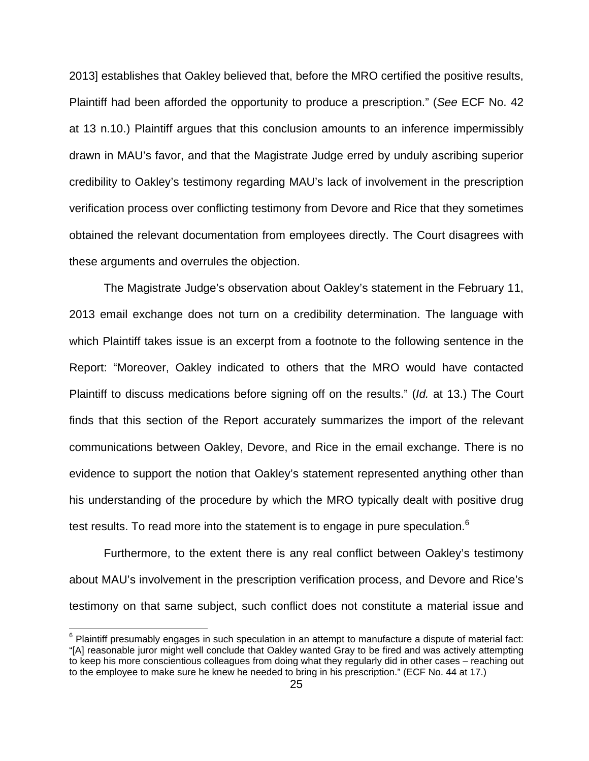2013] establishes that Oakley believed that, before the MRO certified the positive results, Plaintiff had been afforded the opportunity to produce a prescription." (See ECF No. 42 at 13 n.10.) Plaintiff argues that this conclusion amounts to an inference impermissibly drawn in MAU's favor, and that the Magistrate Judge erred by unduly ascribing superior credibility to Oakley's testimony regarding MAU's lack of involvement in the prescription verification process over conflicting testimony from Devore and Rice that they sometimes obtained the relevant documentation from employees directly. The Court disagrees with these arguments and overrules the objection.

The Magistrate Judge's observation about Oakley's statement in the February 11, 2013 email exchange does not turn on a credibility determination. The language with which Plaintiff takes issue is an excerpt from a footnote to the following sentence in the Report: "Moreover, Oakley indicated to others that the MRO would have contacted Plaintiff to discuss medications before signing off on the results." (Id. at 13.) The Court finds that this section of the Report accurately summarizes the import of the relevant communications between Oakley, Devore, and Rice in the email exchange. There is no evidence to support the notion that Oakley's statement represented anything other than his understanding of the procedure by which the MRO typically dealt with positive drug test results. To read more into the statement is to engage in pure speculation.<sup>6</sup>

Furthermore, to the extent there is any real conflict between Oakley's testimony about MAU's involvement in the prescription verification process, and Devore and Rice's testimony on that same subject, such conflict does not constitute a material issue and

 $6$  Plaintiff presumably engages in such speculation in an attempt to manufacture a dispute of material fact: "[A] reasonable juror might well conclude that Oakley wanted Gray to be fired and was actively attempting to keep his more conscientious colleagues from doing what they regularly did in other cases – reaching out to the employee to make sure he knew he needed to bring in his prescription." (ECF No. 44 at 17.)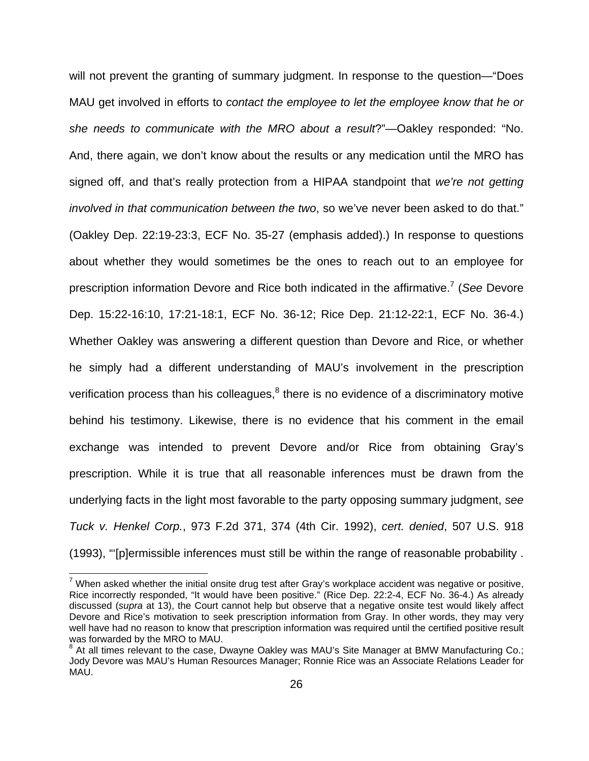will not prevent the granting of summary judgment. In response to the question—"Does MAU get involved in efforts to contact the employee to let the employee know that he or she needs to communicate with the MRO about a result?"—Oakley responded: "No. And, there again, we don't know about the results or any medication until the MRO has signed off, and that's really protection from a HIPAA standpoint that we're not getting involved in that communication between the two, so we've never been asked to do that." (Oakley Dep. 22:19-23:3, ECF No. 35-27 (emphasis added).) In response to questions about whether they would sometimes be the ones to reach out to an employee for prescription information Devore and Rice both indicated in the affirmative.<sup>7</sup> (See Devore Dep. 15:22-16:10, 17:21-18:1, ECF No. 36-12; Rice Dep. 21:12-22:1, ECF No. 36-4.) Whether Oakley was answering a different question than Devore and Rice, or whether he simply had a different understanding of MAU's involvement in the prescription verification process than his colleagues, $<sup>8</sup>$  there is no evidence of a discriminatory motive</sup> behind his testimony. Likewise, there is no evidence that his comment in the email exchange was intended to prevent Devore and/or Rice from obtaining Gray's prescription. While it is true that all reasonable inferences must be drawn from the underlying facts in the light most favorable to the party opposing summary judgment, see Tuck v. Henkel Corp., 973 F.2d 371, 374 (4th Cir. 1992), cert. denied, 507 U.S. 918 (1993), "'[p]ermissible inferences must still be within the range of reasonable probability .

 7 When asked whether the initial onsite drug test after Gray's workplace accident was negative or positive, Rice incorrectly responded, "It would have been positive." (Rice Dep. 22:2-4, ECF No. 36-4.) As already discussed (supra at 13), the Court cannot help but observe that a negative onsite test would likely affect Devore and Rice's motivation to seek prescription information from Gray. In other words, they may very well have had no reason to know that prescription information was required until the certified positive result was forwarded by the MRO to MAU.

<sup>&</sup>lt;sup>8</sup> At all times relevant to the case, Dwayne Oakley was MAU's Site Manager at BMW Manufacturing Co.; Jody Devore was MAU's Human Resources Manager; Ronnie Rice was an Associate Relations Leader for MAU.